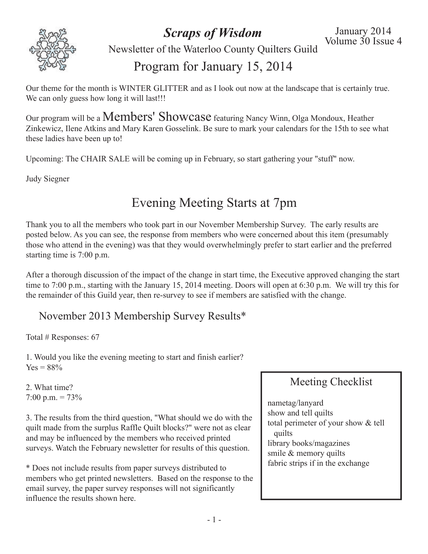

*Scraps of Wisdom*

Newsletter of the Waterloo County Quilters Guild

## Program for January 15, 2014

Our theme for the month is WINTER GLITTER and as I look out now at the landscape that is certainly true. We can only guess how long it will last!!!

Our program will be <sup>a</sup> Members' Showcase featuring Nancy Winn, Olga Mondoux, Heather Zinkewicz, Ilene Atkins and Mary Karen Gosselink. Be sure to mark your calendars for the 15th to see what these ladies have been up to!

Upcoming: The CHAIR SALE will be coming up in February, so start gathering your "stuff" now.

Judy Siegner

# Evening Meeting Starts at 7pm

Thank you to all the members who took part in our November Membership Survey. The early results are posted below. As you can see, the response from members who were concerned about this item (presumably those who attend in the evening) was that they would overwhelmingly prefer to start earlier and the preferred starting time is 7:00 p.m.

After a thorough discussion of the impact of the change in start time, the Executive approved changing the start time to 7:00 p.m., starting with the January 15, 2014 meeting. Doors will open at 6:30 p.m. We will try this for the remainder of this Guild year, then re-survey to see if members are satisfied with the change.

#### November 2013 Membership Survey Results\*

Total # Responses: 67

1. Would you like the evening meeting to start and finish earlier?  $Yes = 88%$ 

2. What time? 7:00 p.m. = 73%

3. The results from the third question, "What should we do with the quilt made from the surplus Raffle Quilt blocks?" were not as clear and may be influenced by the members who received printed surveys. Watch the February newsletter for results of this question.

\* Does not include results from paper surveys distributed to members who get printed newsletters. Based on the response to the email survey, the paper survey responses will not significantly influence the results shown here.

#### Meeting Checklist

nametag/lanyard show and tell quilts total perimeter of your show & tell quilts library books/magazines smile & memory quilts fabric strips if in the exchange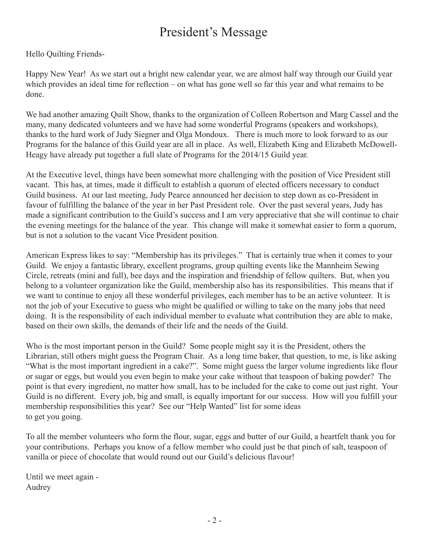# President's Message

Hello Quilting Friends-

Happy New Year! As we start out a bright new calendar year, we are almost half way through our Guild year which provides an ideal time for reflection – on what has gone well so far this year and what remains to be done.

We had another amazing Quilt Show, thanks to the organization of Colleen Robertson and Marg Cassel and the many, many dedicated volunteers and we have had some wonderful Programs (speakers and workshops), thanks to the hard work of Judy Siegner and Olga Mondoux. There is much more to look forward to as our Programs for the balance of this Guild year are all in place. As well, Elizabeth King and Elizabeth McDowell-Heagy have already put together a full slate of Programs for the 2014/15 Guild year.

At the Executive level, things have been somewhat more challenging with the position of Vice President still vacant. This has, at times, made it difficult to establish a quorum of elected officers necessary to conduct Guild business. At our last meeting, Judy Pearce announced her decision to step down as co-President in favour of fulfilling the balance of the year in her Past President role. Over the past several years, Judy has made a significant contribution to the Guild's success and I am very appreciative that she will continue to chair the evening meetings for the balance of the year. This change will make it somewhat easier to form a quorum, but is not a solution to the vacant Vice President position.

American Express likes to say: "Membership has its privileges." That is certainly true when it comes to your Guild. We enjoy a fantastic library, excellent programs, group quilting events like the Mannheim Sewing Circle, retreats (mini and full), bee days and the inspiration and friendship of fellow quilters. But, when you belong to a volunteer organization like the Guild, membership also has its responsibilities. This means that if we want to continue to enjoy all these wonderful privileges, each member has to be an active volunteer. It is not the job of your Executive to guess who might be qualified or willing to take on the many jobs that need doing. It is the responsibility of each individual member to evaluate what contribution they are able to make, based on their own skills, the demands of their life and the needs of the Guild.

Who is the most important person in the Guild? Some people might say it is the President, others the Librarian, still others might guess the Program Chair. As a long time baker, that question, to me, is like asking "What is the most important ingredient in a cake?". Some might guess the larger volume ingredients like flour or sugar or eggs, but would you even begin to make your cake without that teaspoon of baking powder? The point is that every ingredient, no matter how small, has to be included for the cake to come out just right. Your Guild is no different. Every job, big and small, is equally important for our success. How will you fulfill your membership responsibilities this year? See our "Help Wanted" list for some ideas to get you going.

To all the member volunteers who form the flour, sugar, eggs and butter of our Guild, a heartfelt thank you for your contributions. Perhaps you know of a fellow member who could just be that pinch of salt, teaspoon of vanilla or piece of chocolate that would round out our Guild's delicious flavour!

Until we meet again - Audrey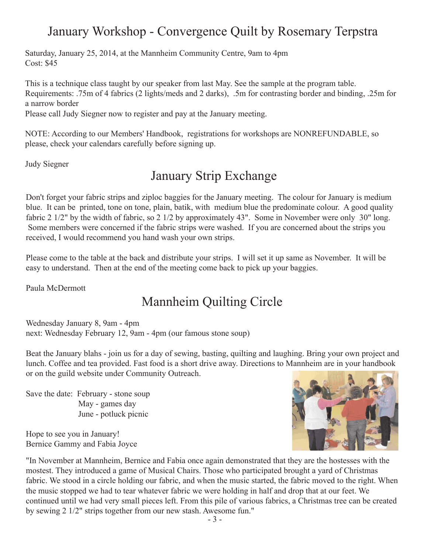# January Workshop - Convergence Quilt by Rosemary Terpstra

Saturday, January 25, 2014, at the Mannheim Community Centre, 9am to 4pm Cost: \$45

This is a technique class taught by our speaker from last May. See the sample at the program table. Requirements: .75m of 4 fabrics (2 lights/meds and 2 darks), .5m for contrasting border and binding, .25m for a narrow border

Please call Judy Siegner now to register and pay at the January meeting.

NOTE: According to our Members' Handbook, registrations for workshops are NONREFUNDABLE, so please, check your calendars carefully before signing up.

Judy Siegner

#### January Strip Exchange

Don't forget your fabric strips and ziploc baggies for the January meeting. The colour for January is medium blue. It can be printed, tone on tone, plain, batik, with medium blue the predominate colour. A good quality fabric 2 1/2" by the width of fabric, so 2 1/2 by approximately 43". Some in November were only 30" long. Some members were concerned if the fabric strips were washed. If you are concerned about the strips you received, I would recommend you hand wash your own strips.

Please come to the table at the back and distribute your strips. I will set it up same as November. It will be easy to understand. Then at the end of the meeting come back to pick up your baggies.

Paula McDermott

# Mannheim Quilting Circle

Wednesday January 8, 9am - 4pm next: Wednesday February 12, 9am - 4pm (our famous stone soup)

Beat the January blahs - join us for a day of sewing, basting, quilting and laughing. Bring your own project and lunch. Coffee and tea provided. Fast food is a short drive away. Directions to Mannheim are in your handbook or on the guild website under Community Outreach.

Save the date: February - stone soup May - games day June - potluck picnic

Hope to see you in January! Bernice Gammy and Fabia Joyce



"In November at Mannheim, Bernice and Fabia once again demonstrated that they are the hostesses with the mostest. They introduced a game of Musical Chairs. Those who participated brought a yard of Christmas fabric. We stood in a circle holding our fabric, and when the music started, the fabric moved to the right. When the music stopped we had to tear whatever fabric we were holding in half and drop that at our feet. We continued until we had very small pieces left. From this pile of various fabrics, a Christmas tree can be created by sewing 2 1/2" strips together from our new stash. Awesome fun."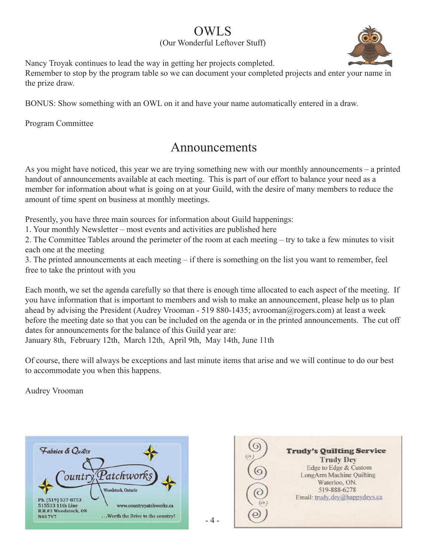#### OWLS

(Our Wonderful Leftover Stuff)



Nancy Troyak continues to lead the way in getting her projects completed.

Remember to stop by the program table so we can document your completed projects and enter your name in the prize draw.

BONUS: Show something with an OWL on it and have your name automatically entered in a draw.

Program Committee

#### Announcements

As you might have noticed, this year we are trying something new with our monthly announcements – a printed handout of announcements available at each meeting. This is part of our effort to balance your need as a member for information about what is going on at your Guild, with the desire of many members to reduce the amount of time spent on business at monthly meetings.

Presently, you have three main sources for information about Guild happenings:

1. Your monthly Newsletter – most events and activities are published here

2. The Committee Tables around the perimeter of the room at each meeting – try to take a few minutes to visit each one at the meeting

3. The printed announcements at each meeting – if there is something on the list you want to remember, feel free to take the printout with you

Each month, we set the agenda carefully so that there is enough time allocated to each aspect of the meeting. If you have information that is important to members and wish to make an announcement, please help us to plan ahead by advising the President (Audrey Vrooman - 519 880-1435; avrooman@rogers.com) at least a week before the meeting date so that you can be included on the agenda or in the printed announcements. The cut off dates for announcements for the balance of this Guild year are:

January 8th, February 12th, March 12th, April 9th, May 14th, June 11th

Of course, there will always be exceptions and last minute items that arise and we will continue to do our best to accommodate you when this happens.

 $-4-$ 

Audrey Vrooman

| Fabrics & Quilts                                          |                                                              |
|-----------------------------------------------------------|--------------------------------------------------------------|
|                                                           |                                                              |
|                                                           | $\mathit{Patchworks}$                                        |
| Ph. (519) 537-8753                                        | Woodstock, Ontario                                           |
| 515533 11th Line<br>R.R.#3 Woodstock, ON<br><b>N4S7V7</b> | www.countrypatchworks.ca<br>.Worth the Drive to the country! |

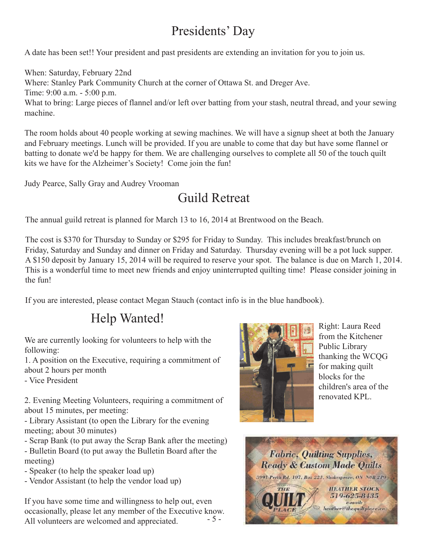# Presidents' Day

A date has been set!! Your president and past presidents are extending an invitation for you to join us.

When: Saturday, February 22nd Where: Stanley Park Community Church at the corner of Ottawa St. and Dreger Ave. Time: 9:00 a.m. - 5:00 p.m. What to bring: Large pieces of flannel and/or left over batting from your stash, neutral thread, and your sewing machine.

The room holds about 40 people working at sewing machines. We will have a signup sheet at both the January and February meetings. Lunch will be provided. If you are unable to come that day but have some flannel or batting to donate we'd be happy for them. We are challenging ourselves to complete all 50 of the touch quilt kits we have for the Alzheimer's Society! Come join the fun!

Judy Pearce, Sally Gray and Audrey Vrooman

# Guild Retreat

The annual guild retreat is planned for March 13 to 16, 2014 at Brentwood on the Beach.

The cost is \$370 for Thursday to Sunday or \$295 for Friday to Sunday. This includes breakfast/brunch on Friday, Saturday and Sunday and dinner on Friday and Saturday. Thursday evening will be a pot luck supper. A \$150 deposit by January 15, 2014 will be required to reserve your spot. The balance is due on March 1, 2014. This is a wonderful time to meet new friends and enjoy uninterrupted quilting time! Please consider joining in the fun!

If you are interested, please contact Megan Stauch (contact info is in the blue handbook).

# Help Wanted!

We are currently looking for volunteers to help with the following:

1. A position on the Executive, requiring a commitment of about 2 hours per month

- Vice President

2. Evening Meeting Volunteers, requiring a commitment of about 15 minutes, per meeting:

- Library Assistant (to open the Library for the evening meeting; about 30 minutes)

- Scrap Bank (to put away the Scrap Bank after the meeting) - Bulletin Board (to put away the Bulletin Board after the meeting)
- Speaker (to help the speaker load up)
- Vendor Assistant (to help the vendor load up)

- 5 - If you have some time and willingness to help out, even occasionally, please let any member of the Executive know. All volunteers are welcomed and appreciated.



Right: Laura Reed from the Kitchener Public Library thanking the WCQG for making quilt blocks for the children's area of the renovated KPL.

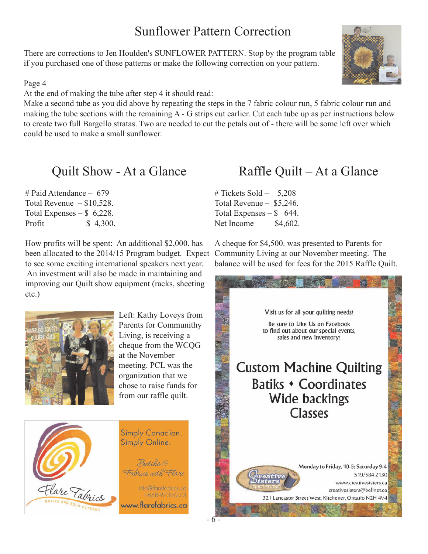## Sunflower Pattern Correction

There are corrections to Jen Houlden's SUNFLOWER PATTERN. Stop by the program table if you purchased one of those patterns or make the following correction on your pattern.

#### Page 4

At the end of making the tube after step 4 it should read:

Make a second tube as you did above by repeating the steps in the 7 fabric colour run, 5 fabric colour run and making the tube sections with the remaining A - G strips cut earlier. Cut each tube up as per instructions below to create two full Bargello stratas. Two are needed to cut the petals out of - there will be some left over which could be used to make a small sunflower.

#### Quilt Show - At a Glance

# Paid Attendance – 679 Total Revenue  $- $10,528$ . Total Expenses  $-$  \$ 6,228. Profit –  $$ 4,300.$ 

How profits will be spent: An additional \$2,000. has been allocated to the 2014/15 Program budget. Expect to see some exciting international speakers next year. An investment will also be made in maintaining and improving our Quilt show equipment (racks, sheeting etc.)



Left: Kathy Loveys from Parents for Communithy Living, is receiving a cheque from the WCQG at the November meeting. PCL was the organization that we chose to raise funds for from our raffle quilt.



## Raffle Quilt – At a Glance

 $\#$  Tickets Sold – 5,208 Total Revenue – \$5,246. Total Expenses  $-$  \$ 644. Net Income  $-$  \$4,602.

A cheque for \$4,500. was presented to Parents for Community Living at our November meeting. The balance will be used for fees for the 2015 Raffle Quilt.



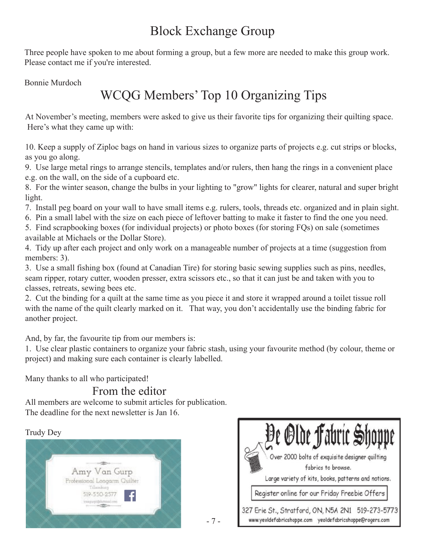# Block Exchange Group

Three people have spoken to me about forming a group, but a few more are needed to make this group work. Please contact me if you're interested.

Bonnie Murdoch

# WCQG Members' Top 10 Organizing Tips

At November's meeting, members were asked to give us their favorite tips for organizing their quilting space. Here's what they came up with:

10. Keep a supply of Ziploc bags on hand in various sizes to organize parts of projects e.g. cut strips or blocks, as you go along.

9. Use large metal rings to arrange stencils, templates and/or rulers, then hang the rings in a convenient place e.g. on the wall, on the side of a cupboard etc.

8. For the winter season, change the bulbs in your lighting to "grow" lights for clearer, natural and super bright light.

- 7. Install peg board on your wall to have small items e.g. rulers, tools, threads etc. organized and in plain sight.
- 6. Pin a small label with the size on each piece of leftover batting to make it faster to find the one you need.
- 5. Find scrapbooking boxes (for individual projects) or photo boxes (for storing FQs) on sale (sometimes available at Michaels or the Dollar Store).

4. Tidy up after each project and only work on a manageable number of projects at a time (suggestion from members: 3).

3. Use a small fishing box (found at Canadian Tire) for storing basic sewing supplies such as pins, needles, seam ripper, rotary cutter, wooden presser, extra scissors etc., so that it can just be and taken with you to classes, retreats, sewing bees etc.

2. Cut the binding for a quilt at the same time as you piece it and store it wrapped around a toilet tissue roll with the name of the quilt clearly marked on it. That way, you don't accidentally use the binding fabric for another project.

And, by far, the favourite tip from our members is:

1. Use clear plastic containers to organize your fabric stash, using your favourite method (by colour, theme or project) and making sure each container is clearly labelled.

Many thanks to all who participated!

#### From the editor

All members are welcome to submit articles for publication. The deadline for the next newsletter is Jan 16.

#### Trudy Dey





- 7 -